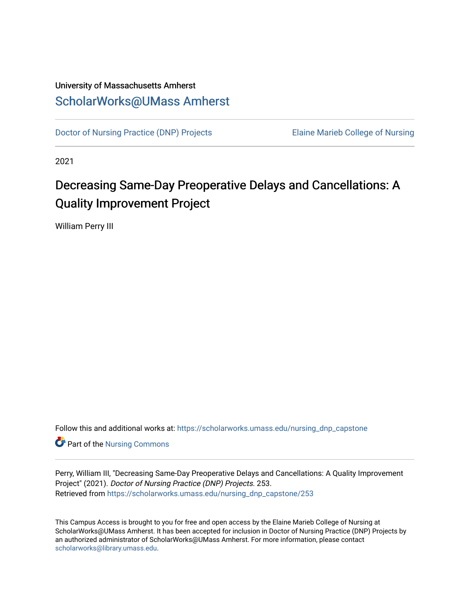## University of Massachusetts Amherst [ScholarWorks@UMass Amherst](https://scholarworks.umass.edu/)

[Doctor of Nursing Practice \(DNP\) Projects](https://scholarworks.umass.edu/nursing_dnp_capstone) Elaine Marieb College of Nursing

2021

# Decreasing Same-Day Preoperative Delays and Cancellations: A Quality Improvement Project

William Perry III

Follow this and additional works at: [https://scholarworks.umass.edu/nursing\\_dnp\\_capstone](https://scholarworks.umass.edu/nursing_dnp_capstone?utm_source=scholarworks.umass.edu%2Fnursing_dnp_capstone%2F253&utm_medium=PDF&utm_campaign=PDFCoverPages) 

**Part of the Nursing Commons** 

Perry, William III, "Decreasing Same-Day Preoperative Delays and Cancellations: A Quality Improvement Project" (2021). Doctor of Nursing Practice (DNP) Projects. 253. Retrieved from [https://scholarworks.umass.edu/nursing\\_dnp\\_capstone/253](https://scholarworks.umass.edu/nursing_dnp_capstone/253?utm_source=scholarworks.umass.edu%2Fnursing_dnp_capstone%2F253&utm_medium=PDF&utm_campaign=PDFCoverPages) 

This Campus Access is brought to you for free and open access by the Elaine Marieb College of Nursing at ScholarWorks@UMass Amherst. It has been accepted for inclusion in Doctor of Nursing Practice (DNP) Projects by an authorized administrator of ScholarWorks@UMass Amherst. For more information, please contact [scholarworks@library.umass.edu.](mailto:scholarworks@library.umass.edu)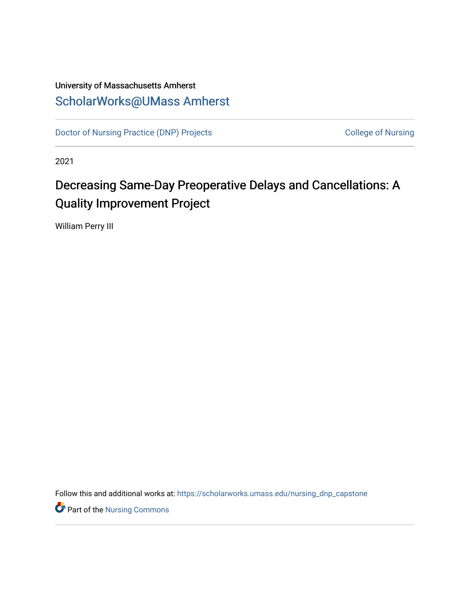## University of Massachusetts Amherst [ScholarWorks@UMass Amherst](https://scholarworks.umass.edu/)

[Doctor of Nursing Practice \(DNP\) Projects](https://scholarworks.umass.edu/nursing_dnp_capstone) College of Nursing

2021

# Decreasing Same-Day Preoperative Delays and Cancellations: A Quality Improvement Project

William Perry III

Follow this and additional works at: [https://scholarworks.umass.edu/nursing\\_dnp\\_capstone](https://scholarworks.umass.edu/nursing_dnp_capstone?utm_source=scholarworks.umass.edu%2Fnursing_dnp_capstone%2F1&utm_medium=PDF&utm_campaign=PDFCoverPages) 

**P** Part of the Nursing Commons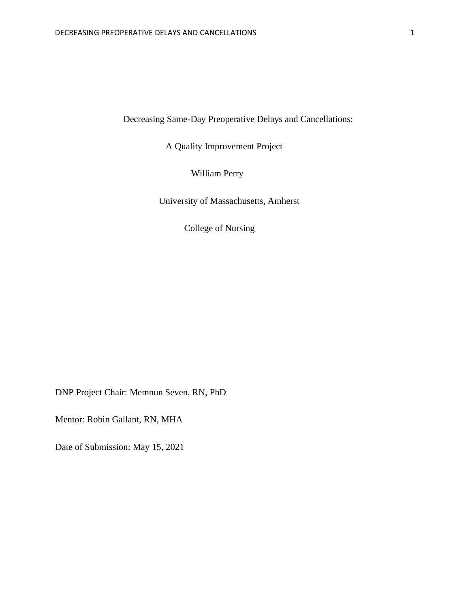Decreasing Same-Day Preoperative Delays and Cancellations:

A Quality Improvement Project

William Perry

University of Massachusetts, Amherst

College of Nursing

DNP Project Chair: Memnun Seven, RN, PhD

Mentor: Robin Gallant, RN, MHA

Date of Submission: May 15, 2021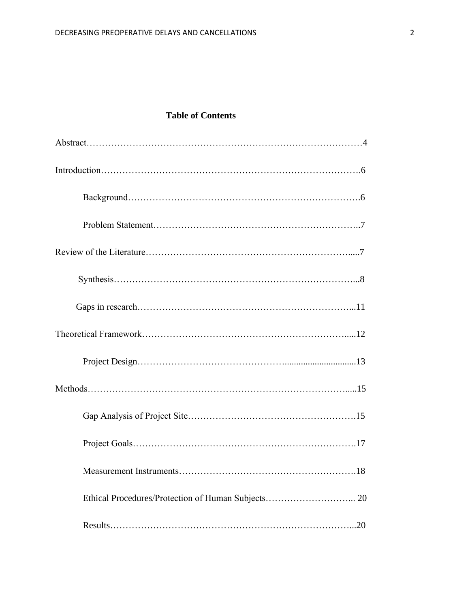## **Table of Contents**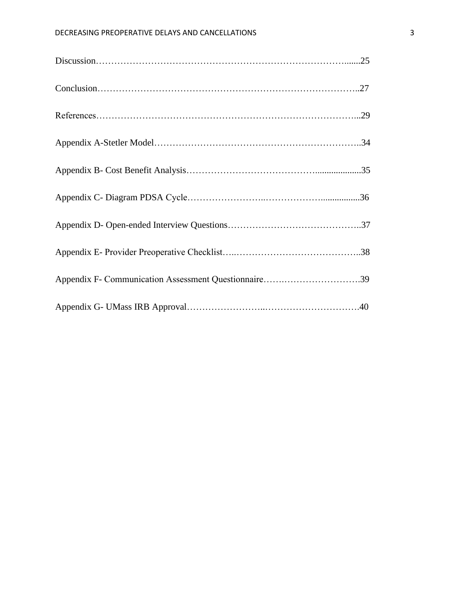| Appendix F- Communication Assessment Questionnaire39 |  |
|------------------------------------------------------|--|
|                                                      |  |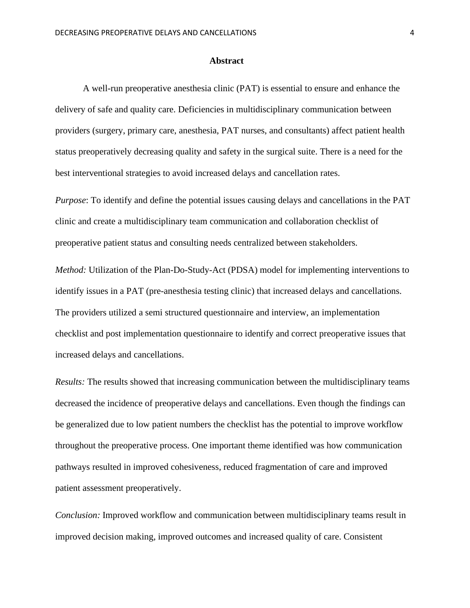#### **Abstract**

A well-run preoperative anesthesia clinic (PAT) is essential to ensure and enhance the delivery of safe and quality care. Deficiencies in multidisciplinary communication between providers (surgery, primary care, anesthesia, PAT nurses, and consultants) affect patient health status preoperatively decreasing quality and safety in the surgical suite. There is a need for the best interventional strategies to avoid increased delays and cancellation rates.

*Purpose*: To identify and define the potential issues causing delays and cancellations in the PAT clinic and create a multidisciplinary team communication and collaboration checklist of preoperative patient status and consulting needs centralized between stakeholders.

*Method:* Utilization of the Plan-Do-Study-Act (PDSA) model for implementing interventions to identify issues in a PAT (pre-anesthesia testing clinic) that increased delays and cancellations. The providers utilized a semi structured questionnaire and interview, an implementation checklist and post implementation questionnaire to identify and correct preoperative issues that increased delays and cancellations.

*Results:* The results showed that increasing communication between the multidisciplinary teams decreased the incidence of preoperative delays and cancellations. Even though the findings can be generalized due to low patient numbers the checklist has the potential to improve workflow throughout the preoperative process. One important theme identified was how communication pathways resulted in improved cohesiveness, reduced fragmentation of care and improved patient assessment preoperatively.

*Conclusion:* Improved workflow and communication between multidisciplinary teams result in improved decision making, improved outcomes and increased quality of care. Consistent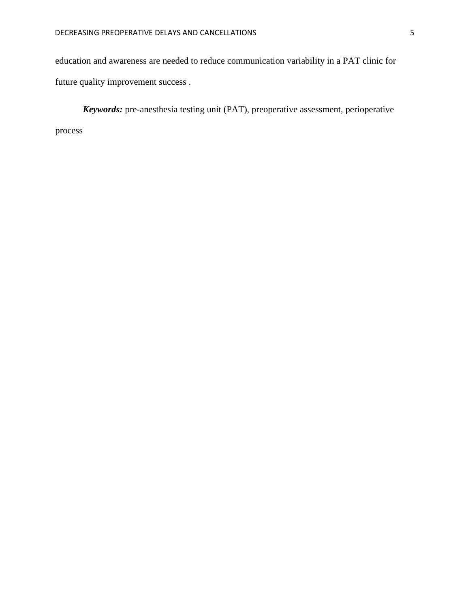education and awareness are needed to reduce communication variability in a PAT clinic for future quality improvement success .

*Keywords:* pre-anesthesia testing unit (PAT), preoperative assessment, perioperative process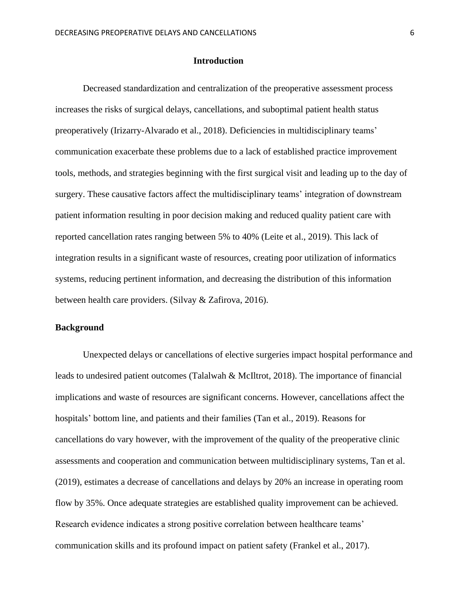#### **Introduction**

Decreased standardization and centralization of the preoperative assessment process increases the risks of surgical delays, cancellations, and suboptimal patient health status preoperatively (Irizarry-Alvarado et al., 2018). Deficiencies in multidisciplinary teams' communication exacerbate these problems due to a lack of established practice improvement tools, methods, and strategies beginning with the first surgical visit and leading up to the day of surgery. These causative factors affect the multidisciplinary teams' integration of downstream patient information resulting in poor decision making and reduced quality patient care with reported cancellation rates ranging between 5% to 40% (Leite et al., 2019). This lack of integration results in a significant waste of resources, creating poor utilization of informatics systems, reducing pertinent information, and decreasing the distribution of this information between health care providers. (Silvay & Zafirova, 2016).

#### **Background**

Unexpected delays or cancellations of elective surgeries impact hospital performance and leads to undesired patient outcomes (Talalwah & McIltrot, 2018). The importance of financial implications and waste of resources are significant concerns. However, cancellations affect the hospitals' bottom line, and patients and their families (Tan et al., 2019). Reasons for cancellations do vary however, with the improvement of the quality of the preoperative clinic assessments and cooperation and communication between multidisciplinary systems, Tan et al. (2019), estimates a decrease of cancellations and delays by 20% an increase in operating room flow by 35%. Once adequate strategies are established quality improvement can be achieved. Research evidence indicates a strong positive correlation between healthcare teams' communication skills and its profound impact on patient safety (Frankel et al., 2017).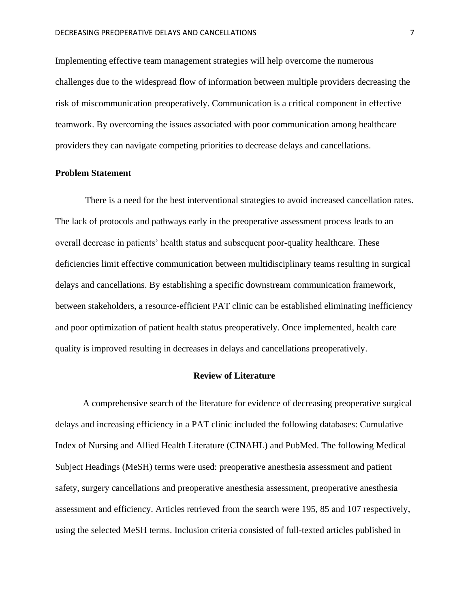Implementing effective team management strategies will help overcome the numerous challenges due to the widespread flow of information between multiple providers decreasing the risk of miscommunication preoperatively. Communication is a critical component in effective teamwork. By overcoming the issues associated with poor communication among healthcare providers they can navigate competing priorities to decrease delays and cancellations.

#### **Problem Statement**

There is a need for the best interventional strategies to avoid increased cancellation rates. The lack of protocols and pathways early in the preoperative assessment process leads to an overall decrease in patients' health status and subsequent poor-quality healthcare. These deficiencies limit effective communication between multidisciplinary teams resulting in surgical delays and cancellations. By establishing a specific downstream communication framework, between stakeholders, a resource-efficient PAT clinic can be established eliminating inefficiency and poor optimization of patient health status preoperatively. Once implemented, health care quality is improved resulting in decreases in delays and cancellations preoperatively.

#### **Review of Literature**

A comprehensive search of the literature for evidence of decreasing preoperative surgical delays and increasing efficiency in a PAT clinic included the following databases: Cumulative Index of Nursing and Allied Health Literature (CINAHL) and PubMed. The following Medical Subject Headings (MeSH) terms were used: preoperative anesthesia assessment and patient safety, surgery cancellations and preoperative anesthesia assessment, preoperative anesthesia assessment and efficiency. Articles retrieved from the search were 195, 85 and 107 respectively, using the selected MeSH terms. Inclusion criteria consisted of full-texted articles published in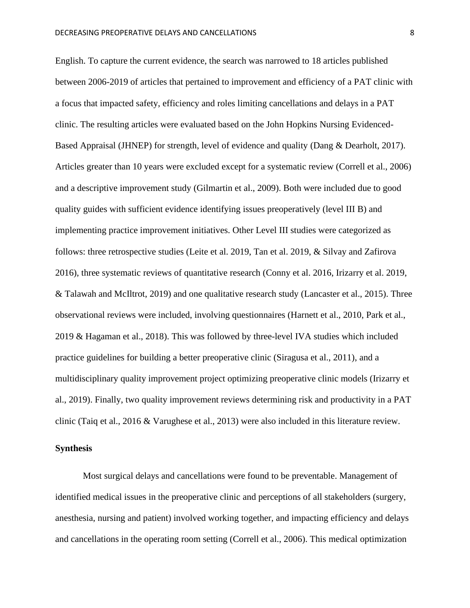English. To capture the current evidence, the search was narrowed to 18 articles published between 2006-2019 of articles that pertained to improvement and efficiency of a PAT clinic with a focus that impacted safety, efficiency and roles limiting cancellations and delays in a PAT clinic. The resulting articles were evaluated based on the John Hopkins Nursing Evidenced-Based Appraisal (JHNEP) for strength, level of evidence and quality (Dang & Dearholt, 2017). Articles greater than 10 years were excluded except for a systematic review (Correll et al., 2006) and a descriptive improvement study (Gilmartin et al., 2009). Both were included due to good quality guides with sufficient evidence identifying issues preoperatively (level III B) and implementing practice improvement initiatives. Other Level III studies were categorized as follows: three retrospective studies (Leite et al. 2019, Tan et al. 2019, & Silvay and Zafirova 2016), three systematic reviews of quantitative research (Conny et al. 2016, Irizarry et al. 2019, & Talawah and McIltrot, 2019) and one qualitative research study (Lancaster et al., 2015). Three observational reviews were included, involving questionnaires (Harnett et al., 2010, Park et al., 2019 & Hagaman et al., 2018). This was followed by three-level IVA studies which included practice guidelines for building a better preoperative clinic (Siragusa et al., 2011), and a multidisciplinary quality improvement project optimizing preoperative clinic models (Irizarry et al., 2019). Finally, two quality improvement reviews determining risk and productivity in a PAT clinic (Taiq et al., 2016 & Varughese et al., 2013) were also included in this literature review.

#### **Synthesis**

Most surgical delays and cancellations were found to be preventable. Management of identified medical issues in the preoperative clinic and perceptions of all stakeholders (surgery, anesthesia, nursing and patient) involved working together, and impacting efficiency and delays and cancellations in the operating room setting (Correll et al., 2006). This medical optimization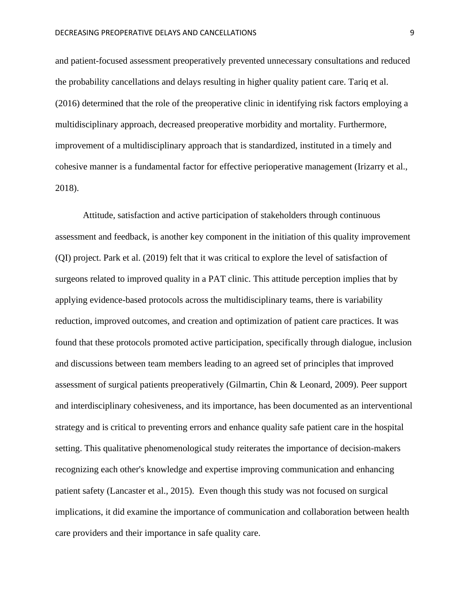and patient-focused assessment preoperatively prevented unnecessary consultations and reduced the probability cancellations and delays resulting in higher quality patient care. Tariq et al. (2016) determined that the role of the preoperative clinic in identifying risk factors employing a multidisciplinary approach, decreased preoperative morbidity and mortality. Furthermore, improvement of a multidisciplinary approach that is standardized, instituted in a timely and cohesive manner is a fundamental factor for effective perioperative management (Irizarry et al., 2018).

Attitude, satisfaction and active participation of stakeholders through continuous assessment and feedback, is another key component in the initiation of this quality improvement (QI) project. Park et al. (2019) felt that it was critical to explore the level of satisfaction of surgeons related to improved quality in a PAT clinic. This attitude perception implies that by applying evidence-based protocols across the multidisciplinary teams, there is variability reduction, improved outcomes, and creation and optimization of patient care practices. It was found that these protocols promoted active participation, specifically through dialogue, inclusion and discussions between team members leading to an agreed set of principles that improved assessment of surgical patients preoperatively (Gilmartin, Chin & Leonard, 2009). Peer support and interdisciplinary cohesiveness, and its importance, has been documented as an interventional strategy and is critical to preventing errors and enhance quality safe patient care in the hospital setting. This qualitative phenomenological study reiterates the importance of decision-makers recognizing each other's knowledge and expertise improving communication and enhancing patient safety (Lancaster et al., 2015). Even though this study was not focused on surgical implications, it did examine the importance of communication and collaboration between health care providers and their importance in safe quality care.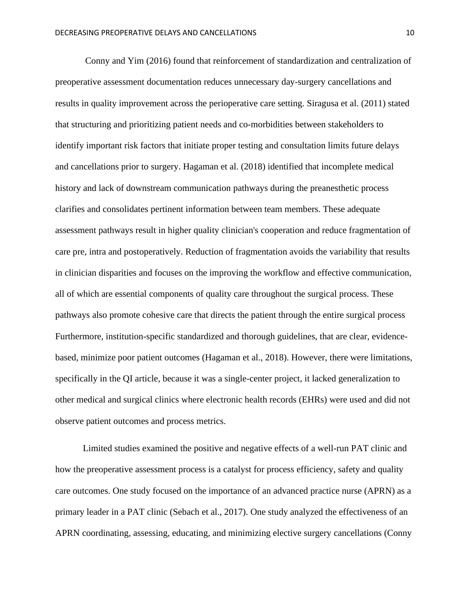Conny and Yim (2016) found that reinforcement of standardization and centralization of preoperative assessment documentation reduces unnecessary day-surgery cancellations and results in quality improvement across the perioperative care setting. Siragusa et al. (2011) stated that structuring and prioritizing patient needs and co-morbidities between stakeholders to identify important risk factors that initiate proper testing and consultation limits future delays and cancellations prior to surgery. Hagaman et al. (2018) identified that incomplete medical history and lack of downstream communication pathways during the preanesthetic process clarifies and consolidates pertinent information between team members. These adequate assessment pathways result in higher quality clinician's cooperation and reduce fragmentation of care pre, intra and postoperatively. Reduction of fragmentation avoids the variability that results in clinician disparities and focuses on the improving the workflow and effective communication, all of which are essential components of quality care throughout the surgical process. These pathways also promote cohesive care that directs the patient through the entire surgical process Furthermore, institution-specific standardized and thorough guidelines, that are clear, evidencebased, minimize poor patient outcomes (Hagaman et al., 2018). However, there were limitations, specifically in the QI article, because it was a single-center project, it lacked generalization to other medical and surgical clinics where electronic health records (EHRs) were used and did not observe patient outcomes and process metrics.

Limited studies examined the positive and negative effects of a well-run PAT clinic and how the preoperative assessment process is a catalyst for process efficiency, safety and quality care outcomes. One study focused on the importance of an advanced practice nurse (APRN) as a primary leader in a PAT clinic (Sebach et al., 2017). One study analyzed the effectiveness of an APRN coordinating, assessing, educating, and minimizing elective surgery cancellations (Conny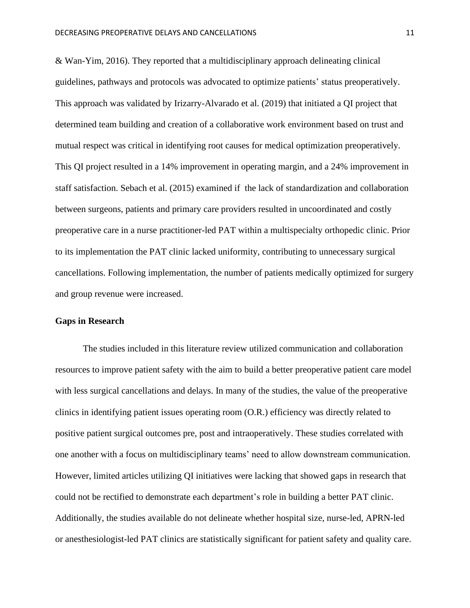& Wan-Yim, 2016). They reported that a multidisciplinary approach delineating clinical guidelines, pathways and protocols was advocated to optimize patients' status preoperatively. This approach was validated by Irizarry-Alvarado et al. (2019) that initiated a QI project that determined team building and creation of a collaborative work environment based on trust and mutual respect was critical in identifying root causes for medical optimization preoperatively. This QI project resulted in a 14% improvement in operating margin, and a 24% improvement in staff satisfaction. Sebach et al. (2015) examined if the lack of standardization and collaboration between surgeons, patients and primary care providers resulted in uncoordinated and costly preoperative care in a nurse practitioner-led PAT within a multispecialty orthopedic clinic. Prior to its implementation the PAT clinic lacked uniformity, contributing to unnecessary surgical cancellations. Following implementation, the number of patients medically optimized for surgery and group revenue were increased.

#### **Gaps in Research**

The studies included in this literature review utilized communication and collaboration resources to improve patient safety with the aim to build a better preoperative patient care model with less surgical cancellations and delays. In many of the studies, the value of the preoperative clinics in identifying patient issues operating room (O.R.) efficiency was directly related to positive patient surgical outcomes pre, post and intraoperatively. These studies correlated with one another with a focus on multidisciplinary teams' need to allow downstream communication. However, limited articles utilizing QI initiatives were lacking that showed gaps in research that could not be rectified to demonstrate each department's role in building a better PAT clinic. Additionally, the studies available do not delineate whether hospital size, nurse-led, APRN-led or anesthesiologist-led PAT clinics are statistically significant for patient safety and quality care.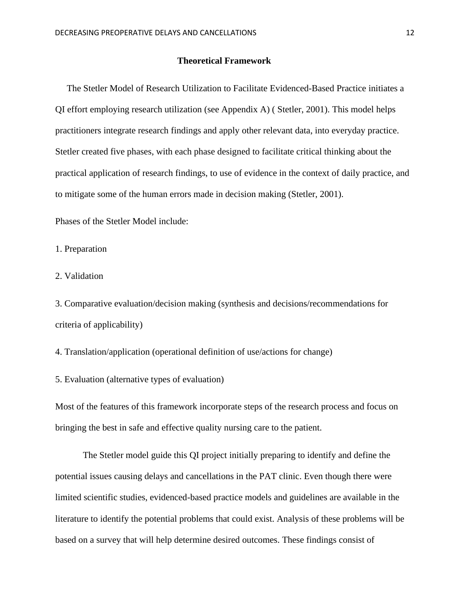#### **Theoretical Framework**

 The Stetler Model of Research Utilization to Facilitate Evidenced-Based Practice initiates a QI effort employing research utilization (see Appendix A) ( Stetler, 2001). This model helps practitioners integrate research findings and apply other relevant data, into everyday practice. Stetler created five phases, with each phase designed to facilitate critical thinking about the practical application of research findings, to use of evidence in the context of daily practice, and to mitigate some of the human errors made in decision making (Stetler, 2001).

Phases of the Stetler Model include:

1. Preparation

2. Validation

3. Comparative evaluation/decision making (synthesis and decisions/recommendations for criteria of applicability)

4. Translation/application (operational definition of use/actions for change)

5. Evaluation (alternative types of evaluation)

Most of the features of this framework incorporate steps of the research process and focus on bringing the best in safe and effective quality nursing care to the patient.

The Stetler model guide this QI project initially preparing to identify and define the potential issues causing delays and cancellations in the PAT clinic. Even though there were limited scientific studies, evidenced-based practice models and guidelines are available in the literature to identify the potential problems that could exist. Analysis of these problems will be based on a survey that will help determine desired outcomes. These findings consist of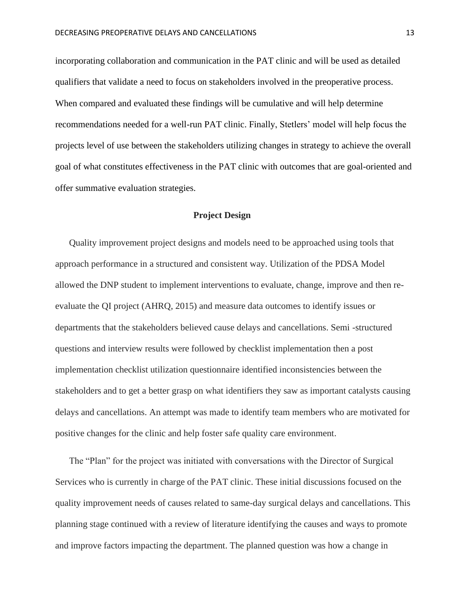incorporating collaboration and communication in the PAT clinic and will be used as detailed qualifiers that validate a need to focus on stakeholders involved in the preoperative process. When compared and evaluated these findings will be cumulative and will help determine recommendations needed for a well-run PAT clinic. Finally, Stetlers' model will help focus the projects level of use between the stakeholders utilizing changes in strategy to achieve the overall goal of what constitutes effectiveness in the PAT clinic with outcomes that are goal-oriented and offer summative evaluation strategies.

#### **Project Design**

Quality improvement project designs and models need to be approached using tools that approach performance in a structured and consistent way. Utilization of the PDSA Model allowed the DNP student to implement interventions to evaluate, change, improve and then reevaluate the QI project (AHRQ, 2015) and measure data outcomes to identify issues or departments that the stakeholders believed cause delays and cancellations. Semi -structured questions and interview results were followed by checklist implementation then a post implementation checklist utilization questionnaire identified inconsistencies between the stakeholders and to get a better grasp on what identifiers they saw as important catalysts causing delays and cancellations. An attempt was made to identify team members who are motivated for positive changes for the clinic and help foster safe quality care environment.

The "Plan" for the project was initiated with conversations with the Director of Surgical Services who is currently in charge of the PAT clinic. These initial discussions focused on the quality improvement needs of causes related to same-day surgical delays and cancellations. This planning stage continued with a review of literature identifying the causes and ways to promote and improve factors impacting the department. The planned question was how a change in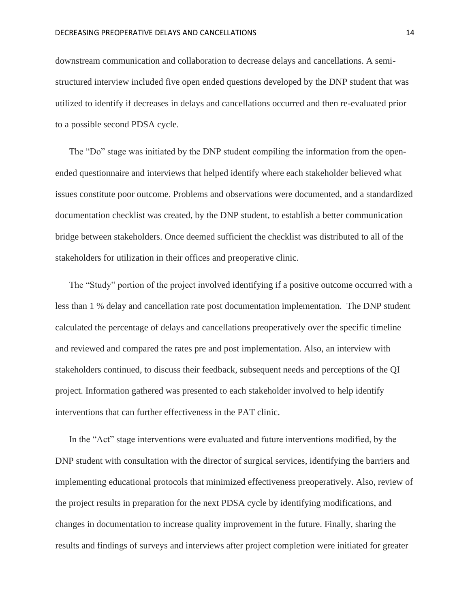downstream communication and collaboration to decrease delays and cancellations. A semistructured interview included five open ended questions developed by the DNP student that was utilized to identify if decreases in delays and cancellations occurred and then re-evaluated prior to a possible second PDSA cycle.

The "Do" stage was initiated by the DNP student compiling the information from the openended questionnaire and interviews that helped identify where each stakeholder believed what issues constitute poor outcome. Problems and observations were documented, and a standardized documentation checklist was created, by the DNP student, to establish a better communication bridge between stakeholders. Once deemed sufficient the checklist was distributed to all of the stakeholders for utilization in their offices and preoperative clinic.

The "Study" portion of the project involved identifying if a positive outcome occurred with a less than 1 % delay and cancellation rate post documentation implementation. The DNP student calculated the percentage of delays and cancellations preoperatively over the specific timeline and reviewed and compared the rates pre and post implementation. Also, an interview with stakeholders continued, to discuss their feedback, subsequent needs and perceptions of the QI project. Information gathered was presented to each stakeholder involved to help identify interventions that can further effectiveness in the PAT clinic.

In the "Act" stage interventions were evaluated and future interventions modified, by the DNP student with consultation with the director of surgical services, identifying the barriers and implementing educational protocols that minimized effectiveness preoperatively. Also, review of the project results in preparation for the next PDSA cycle by identifying modifications, and changes in documentation to increase quality improvement in the future. Finally, sharing the results and findings of surveys and interviews after project completion were initiated for greater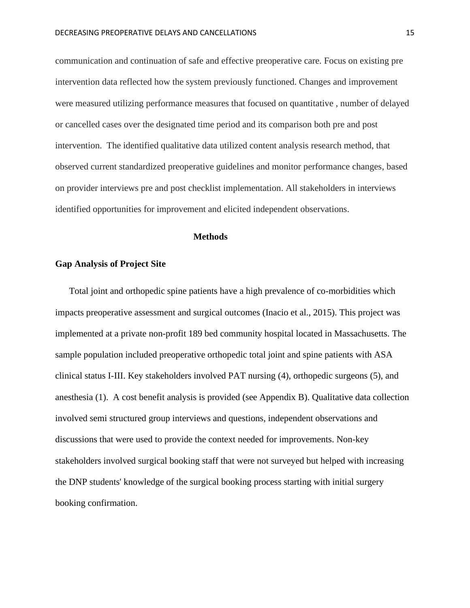communication and continuation of safe and effective preoperative care. Focus on existing pre intervention data reflected how the system previously functioned. Changes and improvement were measured utilizing performance measures that focused on quantitative , number of delayed or cancelled cases over the designated time period and its comparison both pre and post intervention. The identified qualitative data utilized content analysis research method, that observed current standardized preoperative guidelines and monitor performance changes, based on provider interviews pre and post checklist implementation. All stakeholders in interviews identified opportunities for improvement and elicited independent observations.

#### **Methods**

#### **Gap Analysis of Project Site**

Total joint and orthopedic spine patients have a high prevalence of co-morbidities which impacts preoperative assessment and surgical outcomes (Inacio et al., 2015). This project was implemented at a private non-profit 189 bed community hospital located in Massachusetts. The sample population included preoperative orthopedic total joint and spine patients with ASA clinical status I-III. Key stakeholders involved PAT nursing (4), orthopedic surgeons (5), and anesthesia (1). A cost benefit analysis is provided (see Appendix B). Qualitative data collection involved semi structured group interviews and questions, independent observations and discussions that were used to provide the context needed for improvements. Non-key stakeholders involved surgical booking staff that were not surveyed but helped with increasing the DNP students' knowledge of the surgical booking process starting with initial surgery booking confirmation.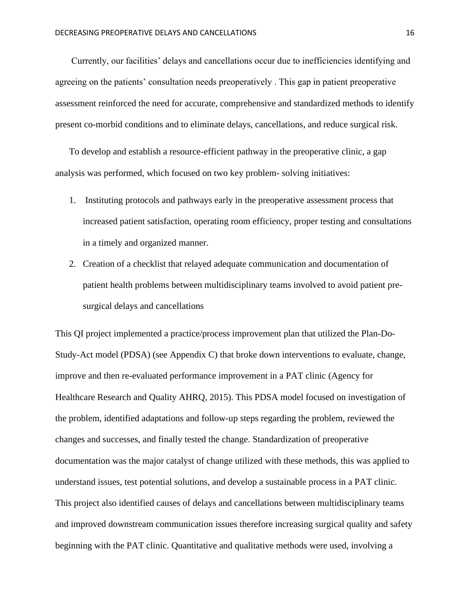Currently, our facilities' delays and cancellations occur due to inefficiencies identifying and agreeing on the patients' consultation needs preoperatively . This gap in patient preoperative assessment reinforced the need for accurate, comprehensive and standardized methods to identify present co-morbid conditions and to eliminate delays, cancellations, and reduce surgical risk.

To develop and establish a resource-efficient pathway in the preoperative clinic, a gap analysis was performed, which focused on two key problem- solving initiatives:

- 1. Instituting protocols and pathways early in the preoperative assessment process that increased patient satisfaction, operating room efficiency, proper testing and consultations in a timely and organized manner.
- 2. Creation of a checklist that relayed adequate communication and documentation of patient health problems between multidisciplinary teams involved to avoid patient presurgical delays and cancellations

This QI project implemented a practice/process improvement plan that utilized the Plan-Do-Study-Act model (PDSA) (see Appendix C) that broke down interventions to evaluate, change, improve and then re-evaluated performance improvement in a PAT clinic (Agency for Healthcare Research and Quality AHRQ, 2015). This PDSA model focused on investigation of the problem, identified adaptations and follow-up steps regarding the problem, reviewed the changes and successes, and finally tested the change. Standardization of preoperative documentation was the major catalyst of change utilized with these methods, this was applied to understand issues, test potential solutions, and develop a sustainable process in a PAT clinic. This project also identified causes of delays and cancellations between multidisciplinary teams and improved downstream communication issues therefore increasing surgical quality and safety beginning with the PAT clinic. Quantitative and qualitative methods were used, involving a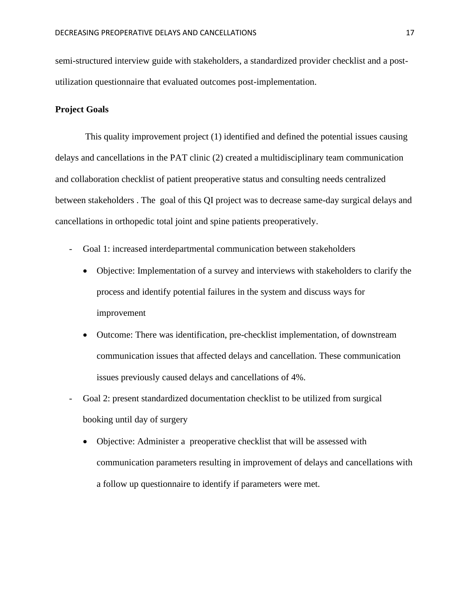semi-structured interview guide with stakeholders, a standardized provider checklist and a postutilization questionnaire that evaluated outcomes post-implementation.

#### **Project Goals**

This quality improvement project (1) identified and defined the potential issues causing delays and cancellations in the PAT clinic (2) created a multidisciplinary team communication and collaboration checklist of patient preoperative status and consulting needs centralized between stakeholders . The goal of this QI project was to decrease same-day surgical delays and cancellations in orthopedic total joint and spine patients preoperatively.

- Goal 1: increased interdepartmental communication between stakeholders
	- Objective: Implementation of a survey and interviews with stakeholders to clarify the process and identify potential failures in the system and discuss ways for improvement
	- Outcome: There was identification, pre-checklist implementation, of downstream communication issues that affected delays and cancellation. These communication issues previously caused delays and cancellations of 4%.
- Goal 2: present standardized documentation checklist to be utilized from surgical booking until day of surgery
	- Objective: Administer a preoperative checklist that will be assessed with communication parameters resulting in improvement of delays and cancellations with a follow up questionnaire to identify if parameters were met.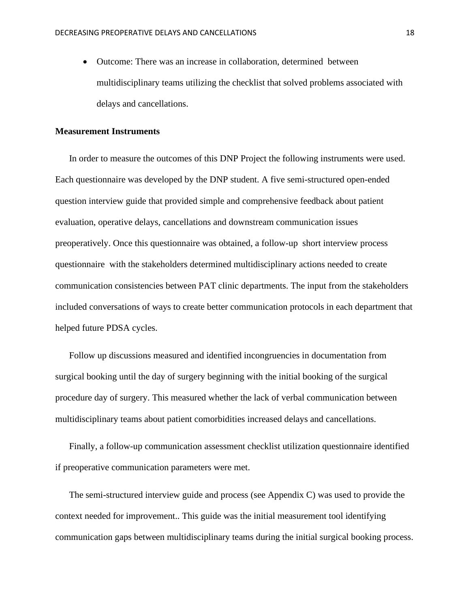• Outcome: There was an increase in collaboration, determined between multidisciplinary teams utilizing the checklist that solved problems associated with delays and cancellations.

#### **Measurement Instruments**

In order to measure the outcomes of this DNP Project the following instruments were used. Each questionnaire was developed by the DNP student. A five semi-structured open-ended question interview guide that provided simple and comprehensive feedback about patient evaluation, operative delays, cancellations and downstream communication issues preoperatively. Once this questionnaire was obtained, a follow-up short interview process questionnaire with the stakeholders determined multidisciplinary actions needed to create communication consistencies between PAT clinic departments. The input from the stakeholders included conversations of ways to create better communication protocols in each department that helped future PDSA cycles.

Follow up discussions measured and identified incongruencies in documentation from surgical booking until the day of surgery beginning with the initial booking of the surgical procedure day of surgery. This measured whether the lack of verbal communication between multidisciplinary teams about patient comorbidities increased delays and cancellations.

Finally, a follow-up communication assessment checklist utilization questionnaire identified if preoperative communication parameters were met.

The semi-structured interview guide and process (see Appendix C) was used to provide the context needed for improvement.. This guide was the initial measurement tool identifying communication gaps between multidisciplinary teams during the initial surgical booking process.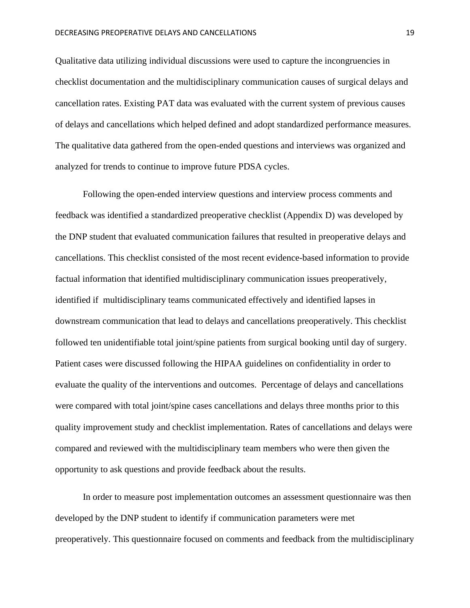Qualitative data utilizing individual discussions were used to capture the incongruencies in checklist documentation and the multidisciplinary communication causes of surgical delays and cancellation rates. Existing PAT data was evaluated with the current system of previous causes of delays and cancellations which helped defined and adopt standardized performance measures. The qualitative data gathered from the open-ended questions and interviews was organized and analyzed for trends to continue to improve future PDSA cycles.

Following the open-ended interview questions and interview process comments and feedback was identified a standardized preoperative checklist (Appendix D) was developed by the DNP student that evaluated communication failures that resulted in preoperative delays and cancellations. This checklist consisted of the most recent evidence-based information to provide factual information that identified multidisciplinary communication issues preoperatively, identified if multidisciplinary teams communicated effectively and identified lapses in downstream communication that lead to delays and cancellations preoperatively. This checklist followed ten unidentifiable total joint/spine patients from surgical booking until day of surgery. Patient cases were discussed following the HIPAA guidelines on confidentiality in order to evaluate the quality of the interventions and outcomes. Percentage of delays and cancellations were compared with total joint/spine cases cancellations and delays three months prior to this quality improvement study and checklist implementation. Rates of cancellations and delays were compared and reviewed with the multidisciplinary team members who were then given the opportunity to ask questions and provide feedback about the results.

In order to measure post implementation outcomes an assessment questionnaire was then developed by the DNP student to identify if communication parameters were met preoperatively. This questionnaire focused on comments and feedback from the multidisciplinary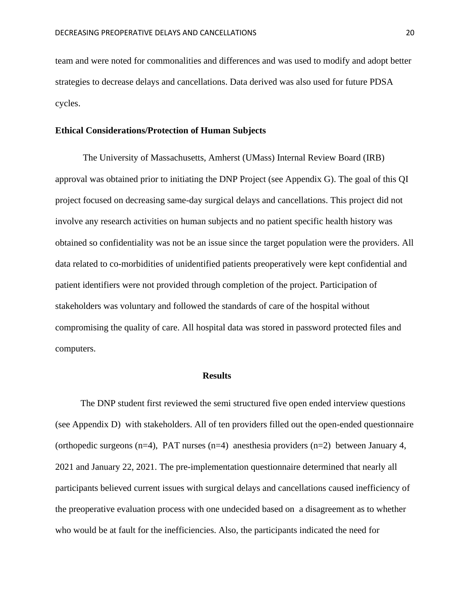team and were noted for commonalities and differences and was used to modify and adopt better strategies to decrease delays and cancellations. Data derived was also used for future PDSA cycles.

#### **Ethical Considerations/Protection of Human Subjects**

The University of Massachusetts, Amherst (UMass) Internal Review Board (IRB) approval was obtained prior to initiating the DNP Project (see Appendix G). The goal of this QI project focused on decreasing same-day surgical delays and cancellations. This project did not involve any research activities on human subjects and no patient specific health history was obtained so confidentiality was not be an issue since the target population were the providers. All data related to co-morbidities of unidentified patients preoperatively were kept confidential and patient identifiers were not provided through completion of the project. Participation of stakeholders was voluntary and followed the standards of care of the hospital without compromising the quality of care. All hospital data was stored in password protected files and computers.

#### **Results**

The DNP student first reviewed the semi structured five open ended interview questions (see Appendix D) with stakeholders. All of ten providers filled out the open-ended questionnaire (orthopedic surgeons  $(n=4)$ , PAT nurses  $(n=4)$  anesthesia providers  $(n=2)$  between January 4, 2021 and January 22, 2021. The pre-implementation questionnaire determined that nearly all participants believed current issues with surgical delays and cancellations caused inefficiency of the preoperative evaluation process with one undecided based on a disagreement as to whether who would be at fault for the inefficiencies. Also, the participants indicated the need for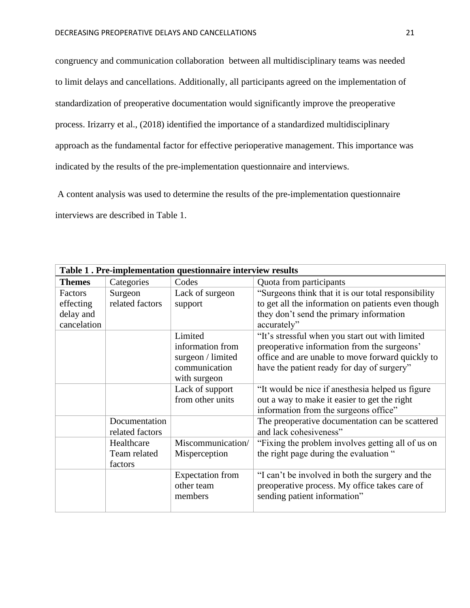congruency and communication collaboration between all multidisciplinary teams was needed to limit delays and cancellations. Additionally, all participants agreed on the implementation of standardization of preoperative documentation would significantly improve the preoperative process. Irizarry et al., (2018) identified the importance of a standardized multidisciplinary approach as the fundamental factor for effective perioperative management. This importance was indicated by the results of the pre-implementation questionnaire and interviews.

A content analysis was used to determine the results of the pre-implementation questionnaire interviews are described in Table 1.

| Table 1. Pre-implementation questionnaire interview results |                 |                   |                                                     |
|-------------------------------------------------------------|-----------------|-------------------|-----------------------------------------------------|
| <b>Themes</b>                                               | Categories      | Codes             | Quota from participants                             |
| Factors                                                     | Surgeon         | Lack of surgeon   | "Surgeons think that it is our total responsibility |
| effecting                                                   | related factors | support           | to get all the information on patients even though  |
| delay and                                                   |                 |                   | they don't send the primary information             |
| cancelation                                                 |                 |                   | accurately"                                         |
|                                                             |                 | Limited           | "It's stressful when you start out with limited     |
|                                                             |                 | information from  | preoperative information from the surgeons'         |
|                                                             |                 | surgeon / limited | office and are unable to move forward quickly to    |
|                                                             |                 | communication     | have the patient ready for day of surgery"          |
|                                                             |                 | with surgeon      |                                                     |
|                                                             |                 | Lack of support   | "It would be nice if anesthesia helped us figure    |
|                                                             |                 | from other units  | out a way to make it easier to get the right        |
|                                                             |                 |                   | information from the surgeons office"               |
|                                                             | Documentation   |                   | The preoperative documentation can be scattered     |
|                                                             | related factors |                   | and lack cohesiveness"                              |
|                                                             | Healthcare      | Miscommunication/ | "Fixing the problem involves getting all of us on   |
|                                                             | Team related    | Misperception     | the right page during the evaluation "              |
|                                                             | factors         |                   |                                                     |
|                                                             |                 | Expectation from  | "I can't be involved in both the surgery and the    |
|                                                             |                 | other team        | preoperative process. My office takes care of       |
|                                                             |                 | members           | sending patient information"                        |
|                                                             |                 |                   |                                                     |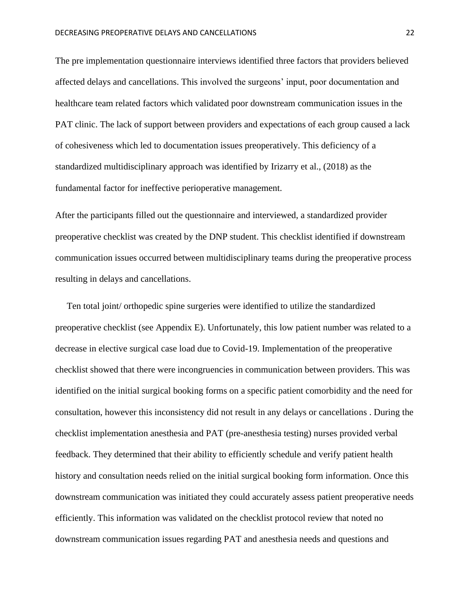The pre implementation questionnaire interviews identified three factors that providers believed affected delays and cancellations. This involved the surgeons' input, poor documentation and healthcare team related factors which validated poor downstream communication issues in the PAT clinic. The lack of support between providers and expectations of each group caused a lack of cohesiveness which led to documentation issues preoperatively. This deficiency of a standardized multidisciplinary approach was identified by Irizarry et al., (2018) as the fundamental factor for ineffective perioperative management.

After the participants filled out the questionnaire and interviewed, a standardized provider preoperative checklist was created by the DNP student. This checklist identified if downstream communication issues occurred between multidisciplinary teams during the preoperative process resulting in delays and cancellations.

 Ten total joint/ orthopedic spine surgeries were identified to utilize the standardized preoperative checklist (see Appendix E). Unfortunately, this low patient number was related to a decrease in elective surgical case load due to Covid-19. Implementation of the preoperative checklist showed that there were incongruencies in communication between providers. This was identified on the initial surgical booking forms on a specific patient comorbidity and the need for consultation, however this inconsistency did not result in any delays or cancellations . During the checklist implementation anesthesia and PAT (pre-anesthesia testing) nurses provided verbal feedback. They determined that their ability to efficiently schedule and verify patient health history and consultation needs relied on the initial surgical booking form information. Once this downstream communication was initiated they could accurately assess patient preoperative needs efficiently. This information was validated on the checklist protocol review that noted no downstream communication issues regarding PAT and anesthesia needs and questions and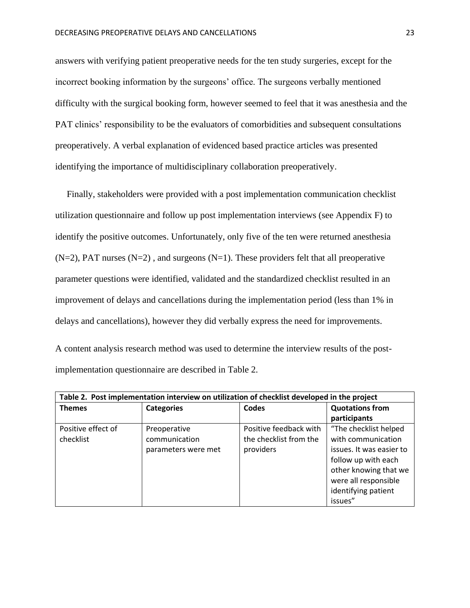answers with verifying patient preoperative needs for the ten study surgeries, except for the incorrect booking information by the surgeons' office. The surgeons verbally mentioned difficulty with the surgical booking form, however seemed to feel that it was anesthesia and the PAT clinics' responsibility to be the evaluators of comorbidities and subsequent consultations preoperatively. A verbal explanation of evidenced based practice articles was presented identifying the importance of multidisciplinary collaboration preoperatively.

 Finally, stakeholders were provided with a post implementation communication checklist utilization questionnaire and follow up post implementation interviews (see Appendix F) to identify the positive outcomes. Unfortunately, only five of the ten were returned anesthesia  $(N=2)$ , PAT nurses  $(N=2)$ , and surgeons  $(N=1)$ . These providers felt that all preoperative parameter questions were identified, validated and the standardized checklist resulted in an improvement of delays and cancellations during the implementation period (less than 1% in delays and cancellations), however they did verbally express the need for improvements.

A content analysis research method was used to determine the interview results of the postimplementation questionnaire are described in Table 2.

| Table 2. Post implementation interview on utilization of checklist developed in the project |                     |                        |                          |
|---------------------------------------------------------------------------------------------|---------------------|------------------------|--------------------------|
| <b>Themes</b>                                                                               | <b>Categories</b>   | Codes                  | <b>Quotations from</b>   |
|                                                                                             |                     |                        | participants             |
| Positive effect of                                                                          | Preoperative        | Positive feedback with | "The checklist helped    |
| checklist                                                                                   | communication       | the checklist from the | with communication       |
|                                                                                             | parameters were met | providers              | issues. It was easier to |
|                                                                                             |                     |                        | follow up with each      |
|                                                                                             |                     |                        | other knowing that we    |
|                                                                                             |                     |                        | were all responsible     |
|                                                                                             |                     |                        | identifying patient      |
|                                                                                             |                     |                        | issues"                  |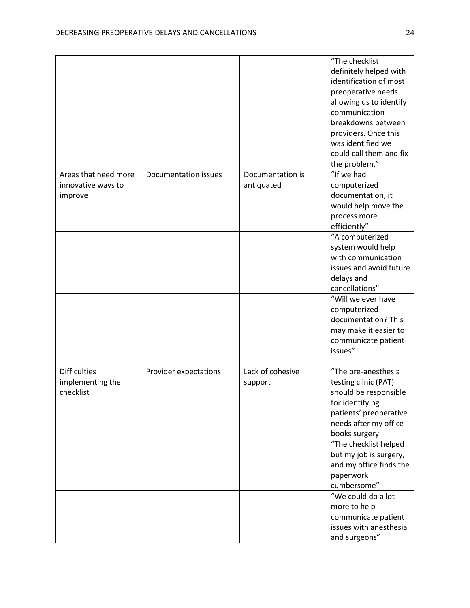|                                                       |                       |                                | "The checklist<br>definitely helped with<br>identification of most<br>preoperative needs<br>allowing us to identify<br>communication<br>breakdowns between<br>providers. Once this<br>was identified we<br>could call them and fix<br>the problem." |
|-------------------------------------------------------|-----------------------|--------------------------------|-----------------------------------------------------------------------------------------------------------------------------------------------------------------------------------------------------------------------------------------------------|
| Areas that need more<br>innovative ways to<br>improve | Documentation issues  | Documentation is<br>antiquated | "If we had<br>computerized<br>documentation, it<br>would help move the<br>process more<br>efficiently"                                                                                                                                              |
|                                                       |                       |                                | "A computerized<br>system would help<br>with communication<br>issues and avoid future<br>delays and<br>cancellations"                                                                                                                               |
|                                                       |                       |                                | "Will we ever have<br>computerized<br>documentation? This<br>may make it easier to<br>communicate patient<br>issues"                                                                                                                                |
| <b>Difficulties</b><br>implementing the<br>checklist  | Provider expectations | Lack of cohesive<br>support    | "The pre-anesthesia<br>testing clinic (PAT)<br>should be responsible<br>for identifying<br>patients' preoperative<br>needs after my office<br>books surgery                                                                                         |
|                                                       |                       |                                | "The checklist helped<br>but my job is surgery,<br>and my office finds the<br>paperwork<br>cumbersome"                                                                                                                                              |
|                                                       |                       |                                | "We could do a lot<br>more to help<br>communicate patient<br>issues with anesthesia<br>and surgeons"                                                                                                                                                |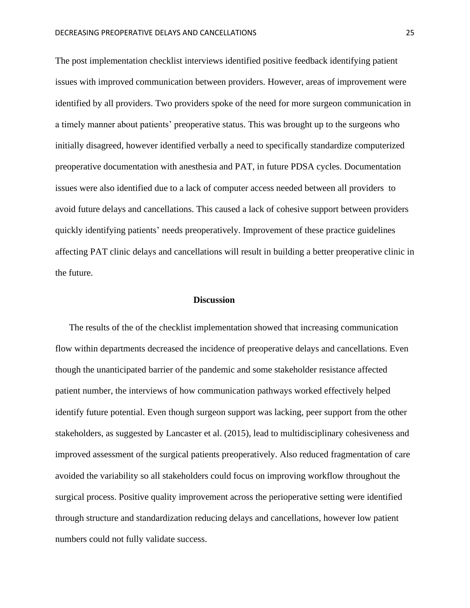The post implementation checklist interviews identified positive feedback identifying patient issues with improved communication between providers. However, areas of improvement were identified by all providers. Two providers spoke of the need for more surgeon communication in a timely manner about patients' preoperative status. This was brought up to the surgeons who initially disagreed, however identified verbally a need to specifically standardize computerized preoperative documentation with anesthesia and PAT, in future PDSA cycles. Documentation issues were also identified due to a lack of computer access needed between all providers to avoid future delays and cancellations. This caused a lack of cohesive support between providers quickly identifying patients' needs preoperatively. Improvement of these practice guidelines affecting PAT clinic delays and cancellations will result in building a better preoperative clinic in the future.

#### **Discussion**

The results of the of the checklist implementation showed that increasing communication flow within departments decreased the incidence of preoperative delays and cancellations. Even though the unanticipated barrier of the pandemic and some stakeholder resistance affected patient number, the interviews of how communication pathways worked effectively helped identify future potential. Even though surgeon support was lacking, peer support from the other stakeholders, as suggested by Lancaster et al. (2015), lead to multidisciplinary cohesiveness and improved assessment of the surgical patients preoperatively. Also reduced fragmentation of care avoided the variability so all stakeholders could focus on improving workflow throughout the surgical process. Positive quality improvement across the perioperative setting were identified through structure and standardization reducing delays and cancellations, however low patient numbers could not fully validate success.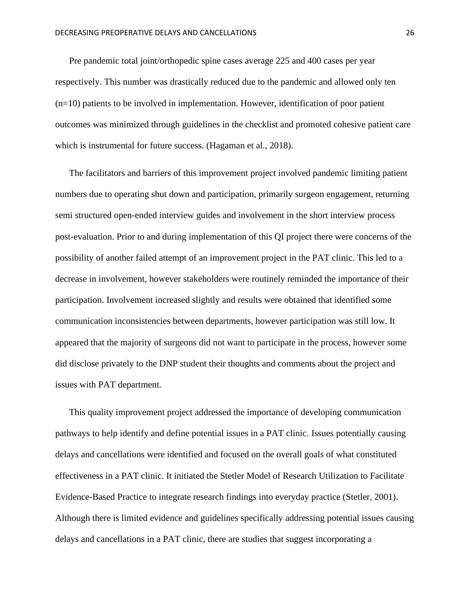Pre pandemic total joint/orthopedic spine cases average 225 and 400 cases per year respectively. This number was drastically reduced due to the pandemic and allowed only ten (n=10) patients to be involved in implementation. However, identification of poor patient outcomes was minimized through guidelines in the checklist and promoted cohesive patient care which is instrumental for future success. (Hagaman et al., 2018).

The facilitators and barriers of this improvement project involved pandemic limiting patient numbers due to operating shut down and participation, primarily surgeon engagement, returning semi structured open-ended interview guides and involvement in the short interview process post-evaluation. Prior to and during implementation of this QI project there were concerns of the possibility of another failed attempt of an improvement project in the PAT clinic. This led to a decrease in involvement, however stakeholders were routinely reminded the importance of their participation. Involvement increased slightly and results were obtained that identified some communication inconsistencies between departments, however participation was still low. It appeared that the majority of surgeons did not want to participate in the process, however some did disclose privately to the DNP student their thoughts and comments about the project and issues with PAT department.

This quality improvement project addressed the importance of developing communication pathways to help identify and define potential issues in a PAT clinic. Issues potentially causing delays and cancellations were identified and focused on the overall goals of what constituted effectiveness in a PAT clinic. It initiated the Stetler Model of Research Utilization to Facilitate Evidence-Based Practice to integrate research findings into everyday practice (Stetler, 2001). Although there is limited evidence and guidelines specifically addressing potential issues causing delays and cancellations in a PAT clinic, there are studies that suggest incorporating a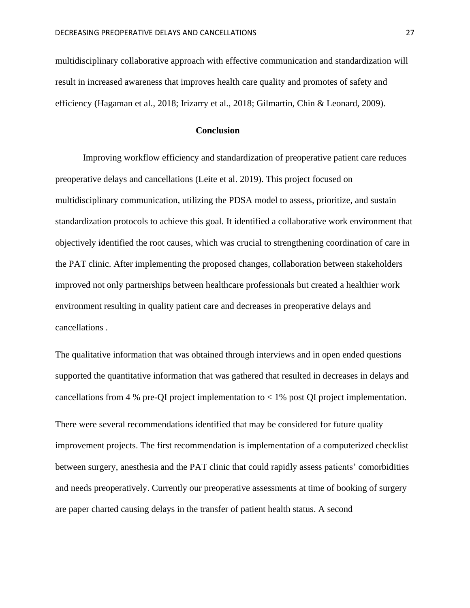multidisciplinary collaborative approach with effective communication and standardization will result in increased awareness that improves health care quality and promotes of safety and efficiency (Hagaman et al., 2018; Irizarry et al., 2018; Gilmartin, Chin & Leonard, 2009).

#### **Conclusion**

Improving workflow efficiency and standardization of preoperative patient care reduces preoperative delays and cancellations (Leite et al. 2019). This project focused on multidisciplinary communication, utilizing the PDSA model to assess, prioritize, and sustain standardization protocols to achieve this goal. It identified a collaborative work environment that objectively identified the root causes, which was crucial to strengthening coordination of care in the PAT clinic. After implementing the proposed changes, collaboration between stakeholders improved not only partnerships between healthcare professionals but created a healthier work environment resulting in quality patient care and decreases in preoperative delays and cancellations .

The qualitative information that was obtained through interviews and in open ended questions supported the quantitative information that was gathered that resulted in decreases in delays and cancellations from 4 % pre-QI project implementation to  $<$  1% post QI project implementation.

There were several recommendations identified that may be considered for future quality improvement projects. The first recommendation is implementation of a computerized checklist between surgery, anesthesia and the PAT clinic that could rapidly assess patients' comorbidities and needs preoperatively. Currently our preoperative assessments at time of booking of surgery are paper charted causing delays in the transfer of patient health status. A second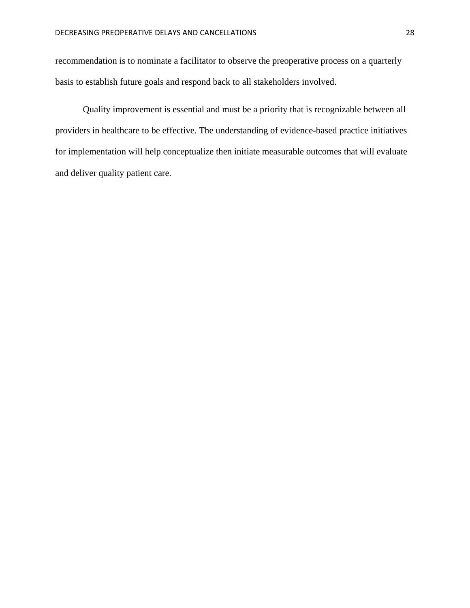recommendation is to nominate a facilitator to observe the preoperative process on a quarterly basis to establish future goals and respond back to all stakeholders involved.

Quality improvement is essential and must be a priority that is recognizable between all providers in healthcare to be effective. The understanding of evidence-based practice initiatives for implementation will help conceptualize then initiate measurable outcomes that will evaluate and deliver quality patient care.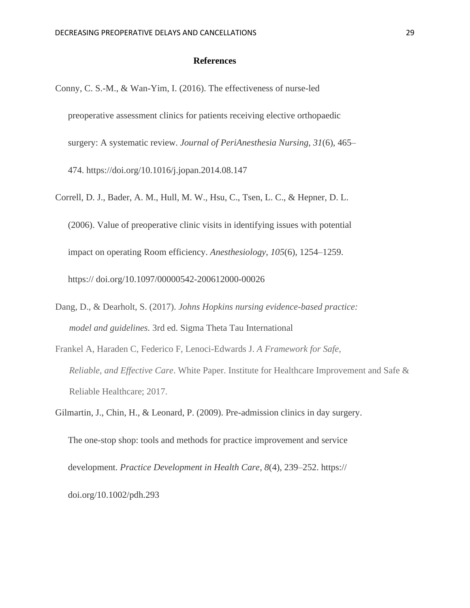#### **References**

- Conny, C. S.-M., & Wan-Yim, I. (2016). The effectiveness of nurse-led preoperative assessment clinics for patients receiving elective orthopaedic surgery: A systematic review. *Journal of PeriAnesthesia Nursing*, *31*(6), 465– 474. https://doi.org/10.1016/j.jopan.2014.08.147
- Correll, D. J., Bader, A. M., Hull, M. W., Hsu, C., Tsen, L. C., & Hepner, D. L. (2006). Value of preoperative clinic visits in identifying issues with potential impact on operating Room efficiency. *Anesthesiology*, *105*(6), 1254–1259. https:// doi.org/10.1097/00000542-200612000-00026
- Dang, D., & Dearholt, S. (2017). *Johns Hopkins nursing evidence-based practice: model and guidelines.* 3rd ed. Sigma Theta Tau International
- Frankel A, Haraden C, Federico F, Lenoci-Edwards J. *A Framework for Safe, Reliable, and Effective Care*. White Paper. Institute for Healthcare Improvement and Safe & Reliable Healthcare; 2017.

Gilmartin, J., Chin, H., & Leonard, P. (2009). Pre-admission clinics in day surgery. The one-stop shop: tools and methods for practice improvement and service development. *Practice Development in Health Care*, *8*(4), 239–252. https://

doi.org/10.1002/pdh.293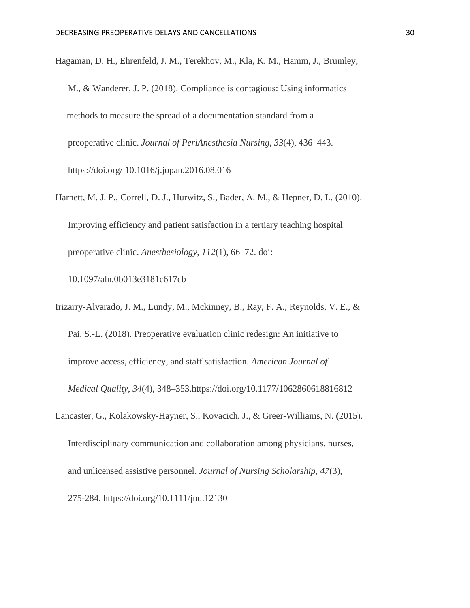Hagaman, D. H., Ehrenfeld, J. M., Terekhov, M., Kla, K. M., Hamm, J., Brumley,

- M., & Wanderer, J. P. (2018). Compliance is contagious: Using informatics methods to measure the spread of a documentation standard from a preoperative clinic. *Journal of PeriAnesthesia Nursing*, *33*(4), 436–443. https://doi.org/ 10.1016/j.jopan.2016.08.016
- Harnett, M. J. P., Correll, D. J., Hurwitz, S., Bader, A. M., & Hepner, D. L. (2010). Improving efficiency and patient satisfaction in a tertiary teaching hospital preoperative clinic. *Anesthesiology*, *112*(1), 66–72. doi:

10.1097/aln.0b013e3181c617cb

Irizarry-Alvarado, J. M., Lundy, M., Mckinney, B., Ray, F. A., Reynolds, V. E., & Pai, S.-L. (2018). Preoperative evaluation clinic redesign: An initiative to improve access, efficiency, and staff satisfaction. *American Journal of Medical Quality*, *34*(4), 348–353.https://doi.org/10.1177/1062860618816812

Lancaster, G., Kolakowsky-Hayner, S., Kovacich, J., & Greer-Williams, N. (2015). Interdisciplinary communication and collaboration among physicians, nurses, and unlicensed assistive personnel. *Journal of Nursing Scholarship*, *47*(3),

275-284. https://doi.org/10.1111/jnu.12130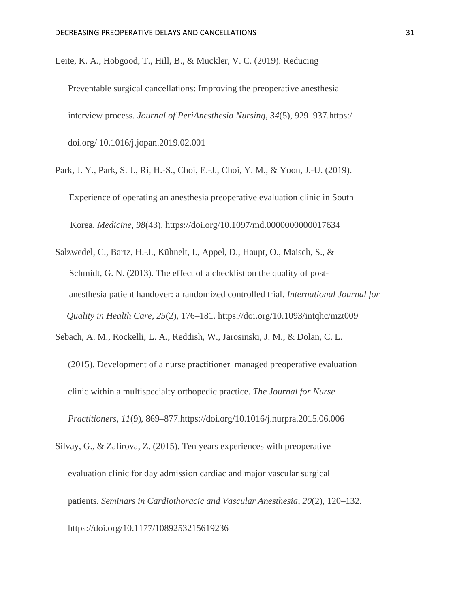Leite, K. A., Hobgood, T., Hill, B., & Muckler, V. C. (2019). Reducing

Preventable surgical cancellations: Improving the preoperative anesthesia interview process. *Journal of PeriAnesthesia Nursing*, *34*(5), 929–937.https:/ doi.org/ 10.1016/j.jopan.2019.02.001

- Park, J. Y., Park, S. J., Ri, H.-S., Choi, E.-J., Choi, Y. M., & Yoon, J.-U. (2019). Experience of operating an anesthesia preoperative evaluation clinic in South Korea. *Medicine*, *98*(43). https://doi.org/10.1097/md.0000000000017634
- Salzwedel, C., Bartz, H.-J., Kühnelt, I., Appel, D., Haupt, O., Maisch, S., & Schmidt, G. N. (2013). The effect of a checklist on the quality of post anesthesia patient handover: a randomized controlled trial. *International Journal for Quality in Health Care*, *25*(2), 176–181. https://doi.org/10.1093/intqhc/mzt009

Sebach, A. M., Rockelli, L. A., Reddish, W., Jarosinski, J. M., & Dolan, C. L.

(2015). Development of a nurse practitioner‒managed preoperative evaluation clinic within a multispecialty orthopedic practice. *The Journal for Nurse Practitioners*, *11*(9), 869–877.https://doi.org/10.1016/j.nurpra.2015.06.006

Silvay, G., & Zafirova, Z. (2015). Ten years experiences with preoperative evaluation clinic for day admission cardiac and major vascular surgical patients. *Seminars in Cardiothoracic and Vascular Anesthesia*, *20*(2), 120–132. https://doi.org/10.1177/1089253215619236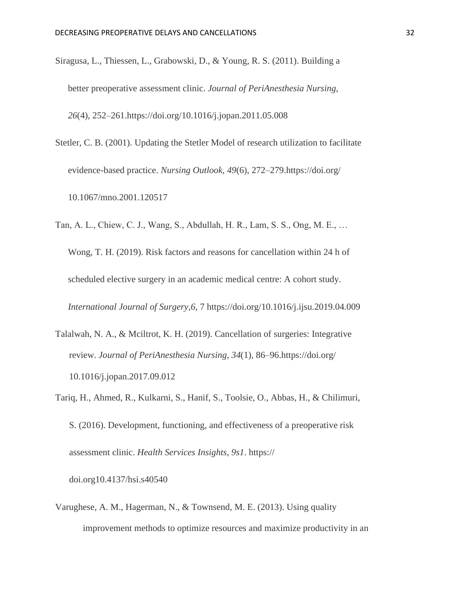- Siragusa, L., Thiessen, L., Grabowski, D., & Young, R. S. (2011). Building a better preoperative assessment clinic. *Journal of PeriAnesthesia Nursing*, *26*(4), 252–261.https://doi.org/10.1016/j.jopan.2011.05.008
- Stetler, C. B. (2001). Updating the Stetler Model of research utilization to facilitate evidence-based practice. *Nursing Outlook*, *49*(6), 272–279.https://doi.org/ 10.1067/mno.2001.120517
- Tan, A. L., Chiew, C. J., Wang, S., Abdullah, H. R., Lam, S. S., Ong, M. E., … Wong, T. H. (2019). Risk factors and reasons for cancellation within 24 h of scheduled elective surgery in an academic medical centre: A cohort study. *International Journal of Surgery*,*6*, 7 https://doi.org/10.1016/j.ijsu.2019.04.009
- Talalwah, N. A., & Mciltrot, K. H. (2019). Cancellation of surgeries: Integrative review. *Journal of PeriAnesthesia Nursing*, *34*(1), 86–96.https://doi.org/ 10.1016/j.jopan.2017.09.012
- Tariq, H., Ahmed, R., Kulkarni, S., Hanif, S., Toolsie, O., Abbas, H., & Chilimuri, S. (2016). Development, functioning, and effectiveness of a preoperative risk assessment clinic. *Health Services Insights*, *9s1*. https://

doi.org10.4137/hsi.s40540

Varughese, A. M., Hagerman, N., & Townsend, M. E. (2013). Using quality improvement methods to optimize resources and maximize productivity in an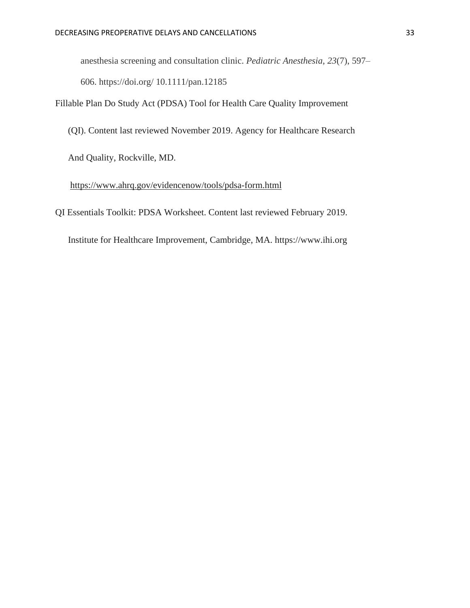anesthesia screening and consultation clinic. *Pediatric Anesthesia*, *23*(7), 597–

606. https://doi.org/ 10.1111/pan.12185

Fillable Plan Do Study Act (PDSA) Tool for Health Care Quality Improvement

(QI). Content last reviewed November 2019. Agency for Healthcare Research

And Quality, Rockville, MD.

#### <https://www.ahrq.gov/evidencenow/tools/pdsa-form.html>

QI Essentials Toolkit: PDSA Worksheet. Content last reviewed February 2019.

Institute for Healthcare Improvement, Cambridge, MA. https://www.ihi.org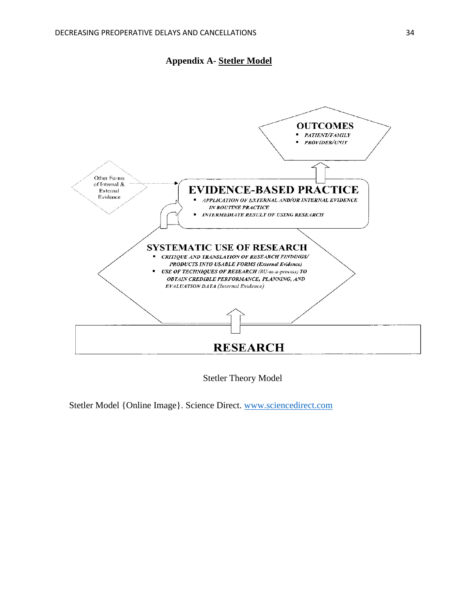



Stetler Theory Model

Stetler Model {Online Image}. Science Direct. [www.sciencedirect.com](http://www.sciencedirect.com/)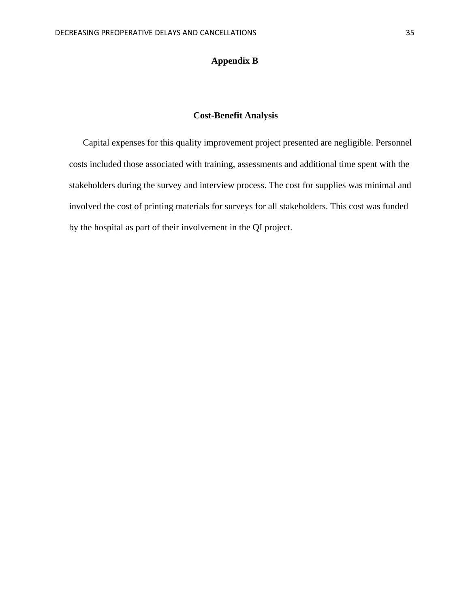### **Appendix B**

## **Cost-Benefit Analysis**

Capital expenses for this quality improvement project presented are negligible. Personnel costs included those associated with training, assessments and additional time spent with the stakeholders during the survey and interview process. The cost for supplies was minimal and involved the cost of printing materials for surveys for all stakeholders. This cost was funded by the hospital as part of their involvement in the QI project.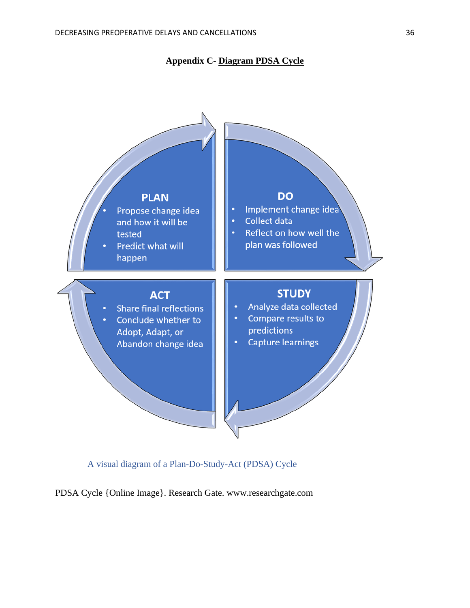



A visual diagram of a Plan-Do-Study-Act (PDSA) Cycle

PDSA Cycle {Online Image}. Research Gate. www.researchgate.com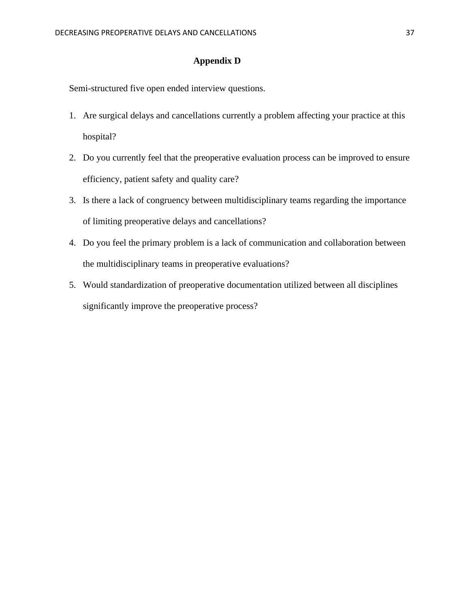### **Appendix D**

Semi-structured five open ended interview questions.

- 1. Are surgical delays and cancellations currently a problem affecting your practice at this hospital?
- 2. Do you currently feel that the preoperative evaluation process can be improved to ensure efficiency, patient safety and quality care?
- 3. Is there a lack of congruency between multidisciplinary teams regarding the importance of limiting preoperative delays and cancellations?
- 4. Do you feel the primary problem is a lack of communication and collaboration between the multidisciplinary teams in preoperative evaluations?
- 5. Would standardization of preoperative documentation utilized between all disciplines significantly improve the preoperative process?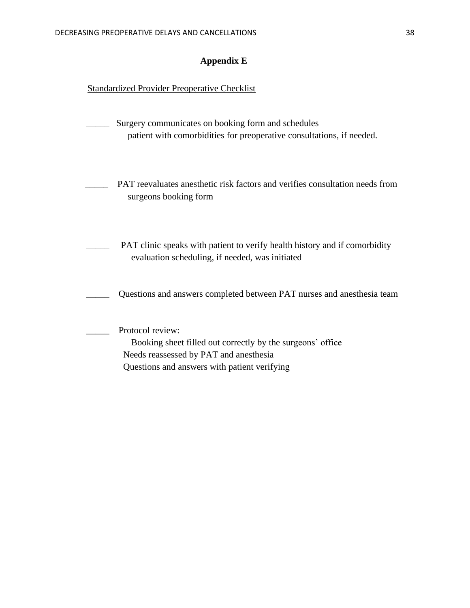## **Appendix E**

## **Standardized Provider Preoperative Checklist**

| Surgery communicates on booking form and schedules<br>patient with comorbidities for preoperative consultations, if needed.                                              |
|--------------------------------------------------------------------------------------------------------------------------------------------------------------------------|
| PAT reevaluates anesthetic risk factors and verifies consultation needs from<br>surgeons booking form                                                                    |
| PAT clinic speaks with patient to verify health history and if comorbidity<br>evaluation scheduling, if needed, was initiated                                            |
| Questions and answers completed between PAT nurses and anesthesia team                                                                                                   |
| Protocol review:<br>Booking sheet filled out correctly by the surgeons' office<br>Needs reassessed by PAT and anesthesia<br>Questions and answers with patient verifying |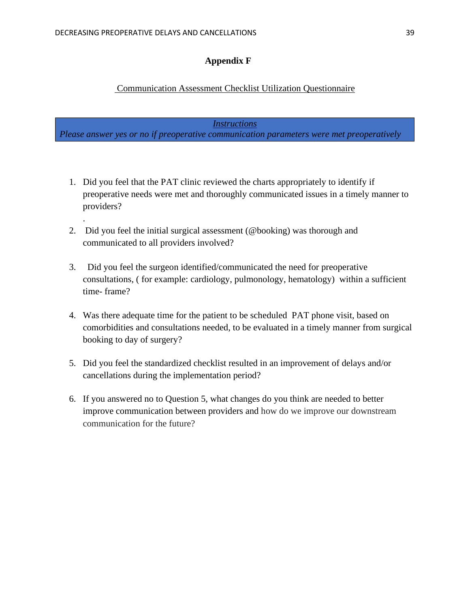.

### **Appendix F**

## Communication Assessment Checklist Utilization Questionnaire

*Instructions*

*Please answer yes or no if preoperative communication parameters were met preoperatively*

- 1. Did you feel that the PAT clinic reviewed the charts appropriately to identify if preoperative needs were met and thoroughly communicated issues in a timely manner to providers?
- 2. Did you feel the initial surgical assessment (@booking) was thorough and communicated to all providers involved?
- 3. Did you feel the surgeon identified/communicated the need for preoperative consultations, ( for example: cardiology, pulmonology, hematology) within a sufficient time- frame?
- 4. Was there adequate time for the patient to be scheduled PAT phone visit, based on comorbidities and consultations needed, to be evaluated in a timely manner from surgical booking to day of surgery?
- 5. Did you feel the standardized checklist resulted in an improvement of delays and/or cancellations during the implementation period?
- 6. If you answered no to Question 5, what changes do you think are needed to better improve communication between providers and how do we improve our downstream communication for the future?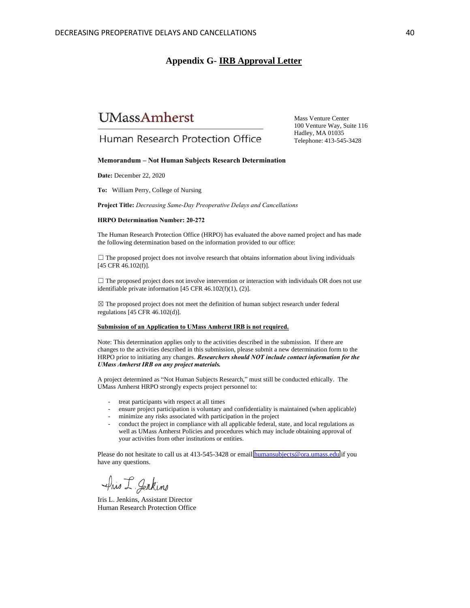#### **Appendix G- IRB Approval Letter**

# **UMassAmherst**

Mass Venture Center 100 Venture Way, Suite 116 Hadley, MA 01035 Telephone: 413-545-3428

## Human Research Protection Office

#### **Memorandum – Not Human Subjects Research Determination**

**Date:** December 22, 2020

**To:** William Perry, College of Nursing

**Project Title:** *Decreasing Same-Day Preoperative Delays and Cancellations*

#### **HRPO Determination Number: 20-272**

The Human Research Protection Office (HRPO) has evaluated the above named project and has made the following determination based on the information provided to our office:

 $\Box$  The proposed project does not involve research that obtains information about living individuals [45 CFR 46.102(f)].

 $\Box$  The proposed project does not involve intervention or interaction with individuals OR does not use identifiable private information [45 CFR 46.102(f)(1), (2)].

☒ The proposed project does not meet the definition of human subject research under federal regulations [45 CFR 46.102(d)].

#### **Submission of an Application to UMass Amherst IRB is not required.**

Note: This determination applies only to the activities described in the submission. If there are changes to the activities described in this submission, please submit a new determination form to the HRPO prior to initiating any changes. *Researchers should NOT include contact information for the UMass Amherst IRB on any project materials.*

A project determined as "Not Human Subjects Research," must still be conducted ethically. The UMass Amherst HRPO strongly expects project personnel to:

- treat participants with respect at all times
- ensure project participation is voluntary and confidentiality is maintained (when applicable)
- minimize any risks associated with participation in the project
- conduct the project in compliance with all applicable federal, state, and local regulations as well as UMass Amherst Policies and procedures which may include obtaining approval of your activities from other institutions or entities.

Please do not hesitate to call us at 413-545-3428 or email humansubjects@ora.umass.edu if you have any questions.

Pris I Gentins

Iris L. Jenkins, Assistant Director Human Research Protection Office